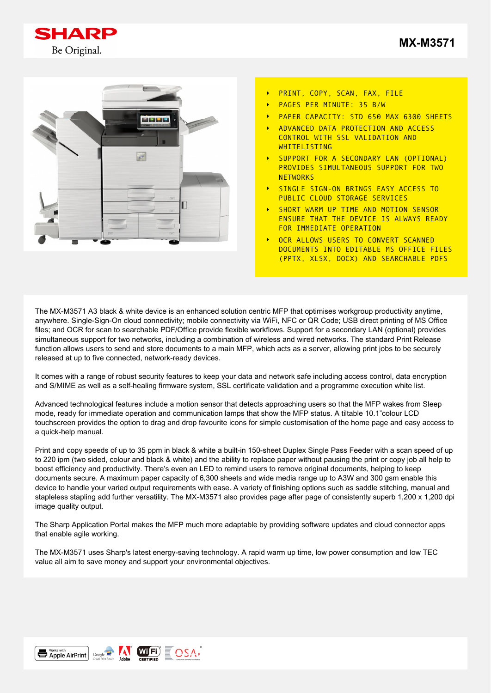



- PRINT, COPY, SCAN, FAX, FILE  $\ddot{\phantom{1}}$
- PAGES PER MINUTE: 35 B/W
- PAPER CAPACITY: STD 650 MAX 6300 SHEETS
- ADVANCED DATA PROTECTION AND ACCESS CONTROL WITH SSL VALIDATION AND **WHITELISTING**
- SUPPORT FOR A SECONDARY LAN (OPTIONAL) PROVIDES SIMULTANEOUS SUPPORT FOR TWO **NETWORKS**
- SINGLE SIGN-ON BRINGS EASY ACCESS TO PUBLIC CLOUD STORAGE SERVICES
- SHORT WARM UP TIME AND MOTION SENSOR ENSURE THAT THE DEVICE IS ALWAYS READY FOR IMMEDIATE OPERATION
- OCR ALLOWS USERS TO CONVERT SCANNED DOCUMENTS INTO EDITABLE MS OFFICE FILES (PPTX, XLSX, DOCX) AND SEARCHABLE PDFS

The MX-M3571 A3 black & white device is an enhanced solution centric MFP that optimises workgroup productivity anytime, anywhere. Single-Sign-On cloud connectivity; mobile connectivity via WiFi, NFC or QR Code; USB direct printing of MS Office files; and OCR for scan to searchable PDF/Office provide flexible workflows. Support for a secondary LAN (optional) provides simultaneous support for two networks, including a combination of wireless and wired networks. The standard Print Release function allows users to send and store documents to a main MFP, which acts as a server, allowing print jobs to be securely released at up to five connected, network-ready devices.

It comes with a range of robust security features to keep your data and network safe including access control, data encryption and S/MIME as well as a self-healing firmware system, SSL certificate validation and a programme execution white list.

Advanced technological features include a motion sensor that detects approaching users so that the MFP wakes from Sleep mode, ready for immediate operation and communication lamps that show the MFP status. A tiltable 10.1"colour LCD touchscreen provides the option to drag and drop favourite icons for simple customisation of the home page and easy access to a quick-help manual.

Print and copy speeds of up to 35 ppm in black & white a built-in 150-sheet Duplex Single Pass Feeder with a scan speed of up to 220 ipm (two sided, colour and black & white) and the ability to replace paper without pausing the print or copy job all help to boost efficiency and productivity. There's even an LED to remind users to remove original documents, helping to keep documents secure. A maximum paper capacity of 6,300 sheets and wide media range up to A3W and 300 gsm enable this device to handle your varied output requirements with ease. A variety of finishing options such as saddle stitching, manual and stapleless stapling add further versatility. The MX-M3571 also provides page after page of consistently superb 1,200 x 1,200 dpi image quality output.

The Sharp Application Portal makes the MFP much more adaptable by providing software updates and cloud connector apps that enable agile working.

The MX-M3571 uses Sharp's latest energy-saving technology. A rapid warm up time, low power consumption and low TEC value all aim to save money and support your environmental objectives.